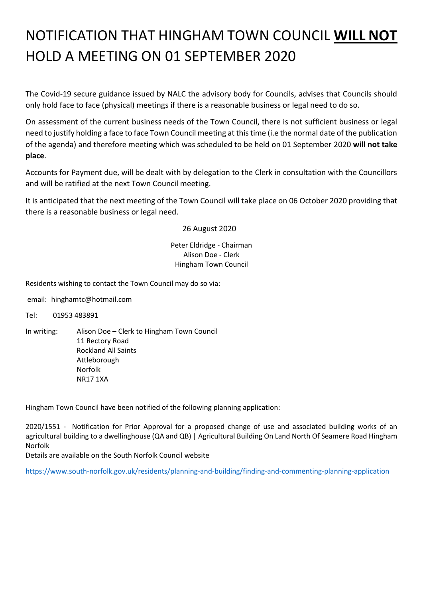## NOTIFICATION THAT HINGHAM TOWN COUNCIL **WILL NOT** HOLD A MEETING ON 01 SEPTEMBER 2020

The Covid-19 secure guidance issued by NALC the advisory body for Councils, advises that Councils should only hold face to face (physical) meetings if there is a reasonable business or legal need to do so.

On assessment of the current business needs of the Town Council, there is not sufficient business or legal need to justify holding a face to face Town Council meeting at this time (i.e the normal date of the publication of the agenda) and therefore meeting which was scheduled to be held on 01 September 2020 **will not take place**.

Accounts for Payment due, will be dealt with by delegation to the Clerk in consultation with the Councillors and will be ratified at the next Town Council meeting.

It is anticipated that the next meeting of the Town Council will take place on 06 October 2020 providing that there is a reasonable business or legal need.

26 August 2020

Peter Eldridge - Chairman Alison Doe - Clerk Hingham Town Council

Residents wishing to contact the Town Council may do so via:

email: hinghamtc@hotmail.com

Tel: 01953 483891

In writing: Alison Doe – Clerk to Hingham Town Council 11 Rectory Road Rockland All Saints Attleborough Norfolk NR17 1XA

Hingham Town Council have been notified of the following planning application:

2020/1551 - Notification for Prior Approval for a proposed change of use and associated building works of an agricultural building to a dwellinghouse (QA and QB) | Agricultural Building On Land North Of Seamere Road Hingham Norfolk

Details are available on the South Norfolk Council website

<https://www.south-norfolk.gov.uk/residents/planning-and-building/finding-and-commenting-planning-application>